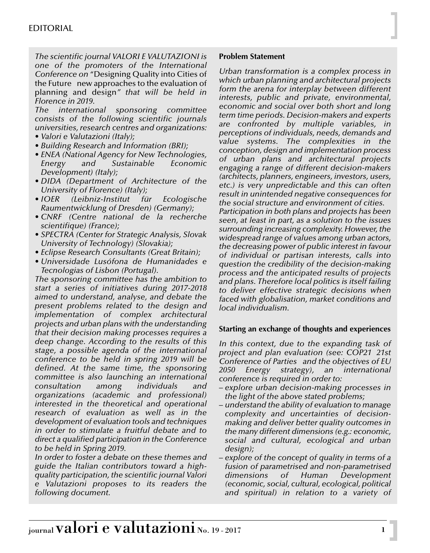*The scientific journal VALORI E VALUTAZIONI is one of the promoters of the International Conference on* "Designing Quality into Cities of the Future new approaches to the evaluation of planning and design*" that will be held in Florence in 2019.* 

*The international sponsoring committee consists of the following scientific journals universities, research centres and organizations: • Valori e Valutazioni (Italy);*

- 
- *Building Research and Information (BRI);*
- *ENEA (National Agency for New Technologies, Energy and Sustainable Economic Development) (Italy);*
- *DIDA (Department of Architecture of the University of Florence) (Italy);*
- *IOER (Leibniz-Institut für Ecologische Raumentwicklung of Dresden) (Germany);*
- *CNRF (Centre national de la recherche scientifique) (France);*
- *SPECTRA (Center for Strategic Analysis, Slovak University of Technology) (Slovakia);*
- *Eclipse Research Consultants (Great Britain);*
- *Universidade Lusófona de Humanidades e Tecnologias of Lisbon (Portugal).*

*The sponsoring committee has the ambition to start a series of initiatives during 2017-2018 aimed to understand, analyse, and debate the present problems related to the design and implementation of complex architectural projects and urban plans with the understanding that their decision making processes requires a deep change. According to the results of this stage, a possible agenda of the international conference to be held in spring 2019 will be defined. At the same time, the sponsoring committee is also launching an international consultation among individuals and organizations (academic and professional) interested in the theoretical and operational research of evaluation as well as in the development of evaluation tools and techniques in order to stimulate a fruitful debate and to direct a qualified participation in the Conference to be held in Spring 2019.* 

*In order to foster a debate on these themes and guide the Italian contributors toward a highquality participation, the scientific journal Valori e Valutazioni proposes to its readers the following document.*

## **Problem Statement**

*Urban transformation is a complex process in which urban planning and architectural projects form the arena for interplay between different interests, public and private, environmental, economic and social over both short and long term time periods. Decision-makers and experts are confronted by multiple variables, in perceptions of individuals, needs, demands and value systems. The complexities in the conception, design and implementation process of urban plans and architectural projects engaging a range of different decision-makers (architects, planners, engineers, investors, users, etc.) is very unpredictable and this can often result in unintended negative consequences for the social structure and environment of cities.* 

*Participation in both plans and projects has been seen, at least in part, as a solution to the issues surrounding increasing complexity. However, the widespread range of values among urban actors, the decreasing power of public interest in favour of individual or partisan interests, calls into question the credibility of the decision-making process and the anticipated results of projects and plans. Therefore local politics is itself failing to deliver effective strategic decisions when faced with globalisation, market conditions and local individualism.*

## **Starting an exchange of thoughts and experiences**

*In this context, due to the expanding task of project and plan evaluation (see: COP21 21st Conference of Parties and the objectives of EU 2050 Energy strategy), an international conference is required in order to:*

- *explore urban decision-making processes in the light of the above stated problems;*
- *understand the ability of evaluation to manage complexity and uncertainties of decisionmaking and deliver better quality outcomes in the many different dimensions (e.g.: economic, social and cultural, ecological and urban design);*
- *explore of the concept of quality in terms of a fusion of parametrised and non-parametrised dimensions of Human Development (economic, social, cultural, ecological, political and spiritual) in relation to a variety of*